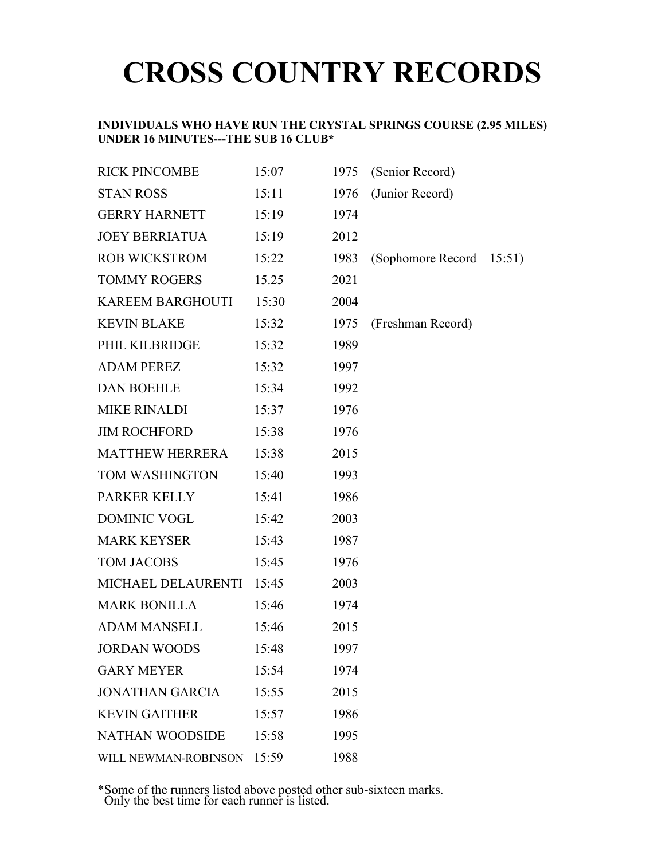# **CROSS COUNTRY RECORDS**

### **INDIVIDUALS WHO HAVE RUN THE CRYSTAL SPRINGS COURSE (2.95 MILES) UNDER 16 MINUTES---THE SUB 16 CLUB\***

| <b>RICK PINCOMBE</b>       | 15:07 | 1975 | (Senior Record)            |
|----------------------------|-------|------|----------------------------|
| <b>STAN ROSS</b>           | 15:11 | 1976 | (Junior Record)            |
| <b>GERRY HARNETT</b>       | 15:19 | 1974 |                            |
| <b>JOEY BERRIATUA</b>      | 15:19 | 2012 |                            |
| <b>ROB WICKSTROM</b>       | 15:22 | 1983 | (Sophomore Record - 15:51) |
| <b>TOMMY ROGERS</b>        | 15.25 | 2021 |                            |
| <b>KAREEM BARGHOUTI</b>    | 15:30 | 2004 |                            |
| <b>KEVIN BLAKE</b>         | 15:32 | 1975 | (Freshman Record)          |
| PHIL KILBRIDGE             | 15:32 | 1989 |                            |
| <b>ADAM PEREZ</b>          | 15:32 | 1997 |                            |
| <b>DAN BOEHLE</b>          | 15:34 | 1992 |                            |
| <b>MIKE RINALDI</b>        | 15:37 | 1976 |                            |
| <b>JIM ROCHFORD</b>        | 15:38 | 1976 |                            |
| <b>MATTHEW HERRERA</b>     | 15:38 | 2015 |                            |
| TOM WASHINGTON             | 15:40 | 1993 |                            |
| PARKER KELLY               | 15:41 | 1986 |                            |
| DOMINIC VOGL               | 15:42 | 2003 |                            |
| <b>MARK KEYSER</b>         | 15:43 | 1987 |                            |
| <b>TOM JACOBS</b>          | 15:45 | 1976 |                            |
| MICHAEL DELAURENTI         | 15:45 | 2003 |                            |
| <b>MARK BONILLA</b>        | 15:46 | 1974 |                            |
| <b>ADAM MANSELL</b>        | 15:46 | 2015 |                            |
| <b>JORDAN WOODS</b>        | 15:48 | 1997 |                            |
| <b>GARY MEYER</b>          | 15:54 | 1974 |                            |
| <b>JONATHAN GARCIA</b>     | 15:55 | 2015 |                            |
| <b>KEVIN GAITHER</b>       | 15:57 | 1986 |                            |
| <b>NATHAN WOODSIDE</b>     | 15:58 | 1995 |                            |
| WILL NEWMAN-ROBINSON 15:59 |       | 1988 |                            |

\*Some of the runners listed above posted other sub-sixteen marks. Only the best time for each runner is listed.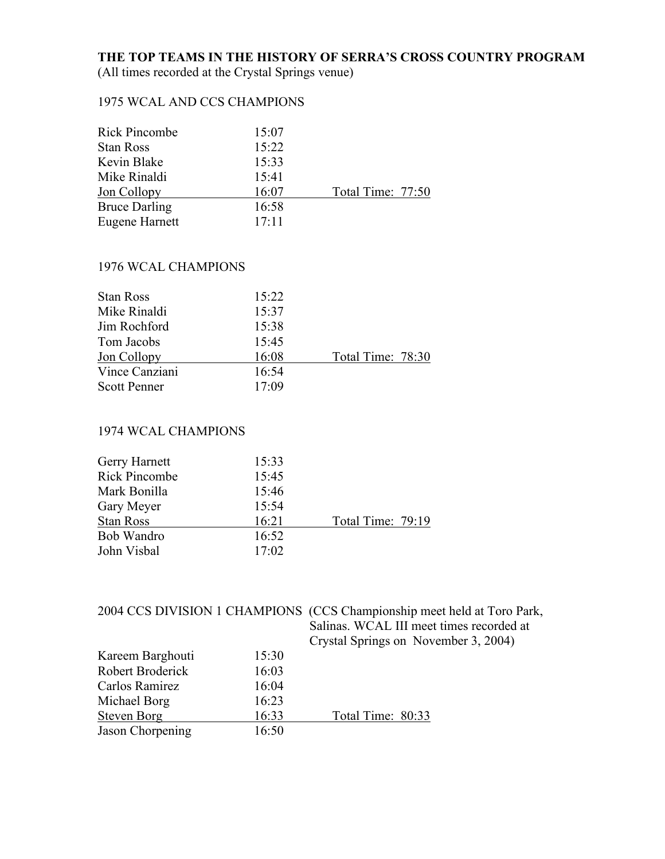## **THE TOP TEAMS IN THE HISTORY OF SERRA'S CROSS COUNTRY PROGRAM**

(All times recorded at the Crystal Springs venue)

## 1975 WCAL AND CCS CHAMPIONS

| 15:07 |                   |
|-------|-------------------|
| 15:22 |                   |
| 15:33 |                   |
| 15:41 |                   |
| 16:07 | Total Time: 77:50 |
| 16:58 |                   |
| 17:11 |                   |
|       |                   |

### 1976 WCAL CHAMPIONS

| 15:22 |                   |
|-------|-------------------|
| 15:37 |                   |
| 15:38 |                   |
| 15:45 |                   |
| 16:08 | Total Time: 78:30 |
| 16:54 |                   |
| 17:09 |                   |
|       |                   |

## 1974 WCAL CHAMPIONS

| Gerry Harnett        | 15:33 |                   |
|----------------------|-------|-------------------|
| <b>Rick Pincombe</b> | 15:45 |                   |
| Mark Bonilla         | 15:46 |                   |
| Gary Meyer           | 15:54 |                   |
| <b>Stan Ross</b>     | 16:21 | Total Time: 79:19 |
| Bob Wandro           | 16:52 |                   |
| John Visbal          | 17:02 |                   |

|                  |       | 2004 CCS DIVISION 1 CHAMPIONS (CCS Championship meet held at Toro Park,<br>Salinas. WCAL III meet times recorded at<br>Crystal Springs on November 3, 2004) |
|------------------|-------|-------------------------------------------------------------------------------------------------------------------------------------------------------------|
| Kareem Barghouti | 15:30 |                                                                                                                                                             |
| Robert Broderick | 16:03 |                                                                                                                                                             |
| Carlos Ramirez   | 16:04 |                                                                                                                                                             |
| Michael Borg     | 16:23 |                                                                                                                                                             |
| Steven Borg      | 16:33 | Total Time: 80:33                                                                                                                                           |
| Jason Chorpening | 16:50 |                                                                                                                                                             |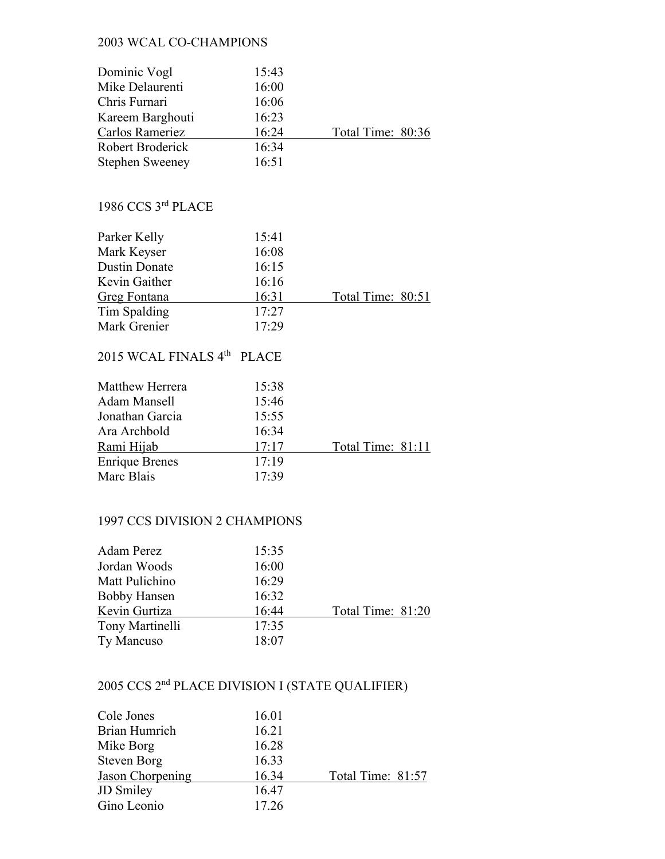## 2003 WCAL CO-CHAMPIONS

| Dominic Vogl                     | 15:43        |                   |
|----------------------------------|--------------|-------------------|
| Mike Delaurenti                  | 16:00        |                   |
| Chris Furnari                    | 16:06        |                   |
| Kareem Barghouti                 | 16:23        |                   |
| Carlos Rameriez                  | 16:24        | Total Time: 80:36 |
| Robert Broderick                 | 16:34        |                   |
| <b>Stephen Sweeney</b>           | 16:51        |                   |
|                                  |              |                   |
| 1986 CCS 3rd PLACE               |              |                   |
| Parker Kelly                     | 15:41        |                   |
| Mark Keyser                      | 16:08        |                   |
| <b>Dustin Donate</b>             | 16:15        |                   |
| Kevin Gaither                    | 16:16        |                   |
| <b>Greg Fontana</b>              | 16:31        | Total Time: 80:51 |
| Tim Spalding                     | 17:27        |                   |
| Mark Grenier                     | 17:29        |                   |
| 2015 WCAL FINALS 4 <sup>th</sup> | <b>PLACE</b> |                   |
| Matthew Herrera                  | 15:38        |                   |
| <b>Adam Mansell</b>              | 15:46        |                   |
| Jonathan Garcia                  | 15:55        |                   |
| Ara Archbold                     | 16:34        |                   |
| Rami Hijab                       | 17:17        | Total Time: 81:11 |
| <b>Enrique Brenes</b>            | 17:19        |                   |
| Marc Blais                       | 17:39        |                   |
|                                  |              |                   |

## 1997 CCS DIVISION 2 CHAMPIONS

| Adam Perez          | 15:35 |                   |
|---------------------|-------|-------------------|
| Jordan Woods        | 16:00 |                   |
| Matt Pulichino      | 16:29 |                   |
| <b>Bobby Hansen</b> | 16:32 |                   |
| Kevin Gurtiza       | 16:44 | Total Time: 81:20 |
| Tony Martinelli     | 17:35 |                   |
| Ty Mancuso          | 18:07 |                   |

# 2005 CCS 2nd PLACE DIVISION I (STATE QUALIFIER)

| Cole Jones         | 16.01 |                   |
|--------------------|-------|-------------------|
| Brian Humrich      | 16.21 |                   |
| Mike Borg          | 16.28 |                   |
| <b>Steven Borg</b> | 16.33 |                   |
| Jason Chorpening   | 16.34 | Total Time: 81:57 |
| <b>JD</b> Smiley   | 16.47 |                   |
| Gino Leonio        | 17.26 |                   |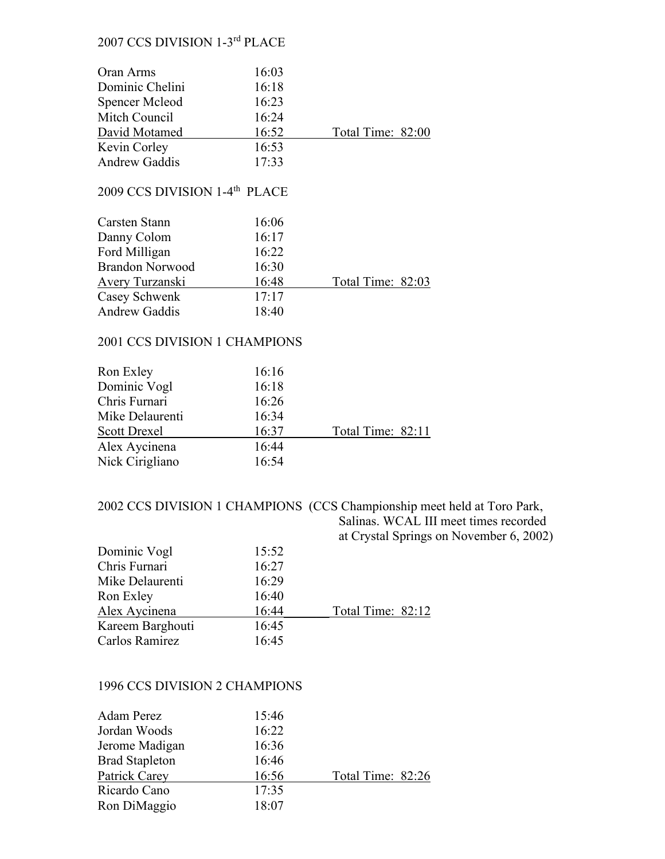## 2007 CCS DIVISION 1-3rd PLACE

| Oran Arms                                                  | 16:03 |                   |
|------------------------------------------------------------|-------|-------------------|
| Dominic Chelini                                            | 16:18 |                   |
| Spencer Mcleod                                             | 16:23 |                   |
| Mitch Council                                              | 16:24 |                   |
| David Motamed                                              | 16:52 | Total Time: 82:00 |
| Kevin Corley                                               | 16:53 |                   |
| <b>Andrew Gaddis</b>                                       | 17:33 |                   |
| 2009 CCS DIVISION 1-4 <sup>th</sup> PLACE<br>Carsten Stann | 16:06 |                   |
| Danny Colom                                                | 16:17 |                   |
| Ford Milligan                                              | 16:22 |                   |
| Brandon Norwood                                            | 16:30 |                   |
| Avery Turzanski                                            | 16:48 | Total Time: 82:03 |
| Casey Schwenk                                              | 17:17 |                   |
| <b>Andrew Gaddis</b>                                       | 18:40 |                   |

### 2001 CCS DIVISION 1 CHAMPIONS

| Ron Exley           | 16:16 |                   |
|---------------------|-------|-------------------|
| Dominic Vogl        | 16:18 |                   |
| Chris Furnari       | 16:26 |                   |
| Mike Delaurenti     | 16:34 |                   |
| <b>Scott Drexel</b> | 16:37 | Total Time: 82:11 |
| Alex Aycinena       | 16:44 |                   |
| Nick Cirigliano     | 16:54 |                   |

2002 CCS DIVISION 1 CHAMPIONS (CCS Championship meet held at Toro Park, Salinas. WCAL III meet times recorded at Crystal Springs on November 6, 2002)

|                  |       | $\alpha$ or <i>your optings</i> . |
|------------------|-------|-----------------------------------|
| Dominic Vogl     | 15:52 |                                   |
| Chris Furnari    | 16:27 |                                   |
| Mike Delaurenti  | 16:29 |                                   |
| Ron Exley        | 16:40 |                                   |
| Alex Aycinena    | 16:44 | Total Time: 82:12                 |
| Kareem Barghouti | 16:45 |                                   |
| Carlos Ramirez   | 16:45 |                                   |
|                  |       |                                   |

#### 1996 CCS DIVISION 2 CHAMPIONS

| Adam Perez            | 15:46 |                   |
|-----------------------|-------|-------------------|
| Jordan Woods          | 16:22 |                   |
| Jerome Madigan        | 16:36 |                   |
| <b>Brad Stapleton</b> | 16:46 |                   |
| Patrick Carey         | 16:56 | Total Time: 82:26 |
| Ricardo Cano          | 17:35 |                   |
| Ron DiMaggio          | 18:07 |                   |
|                       |       |                   |